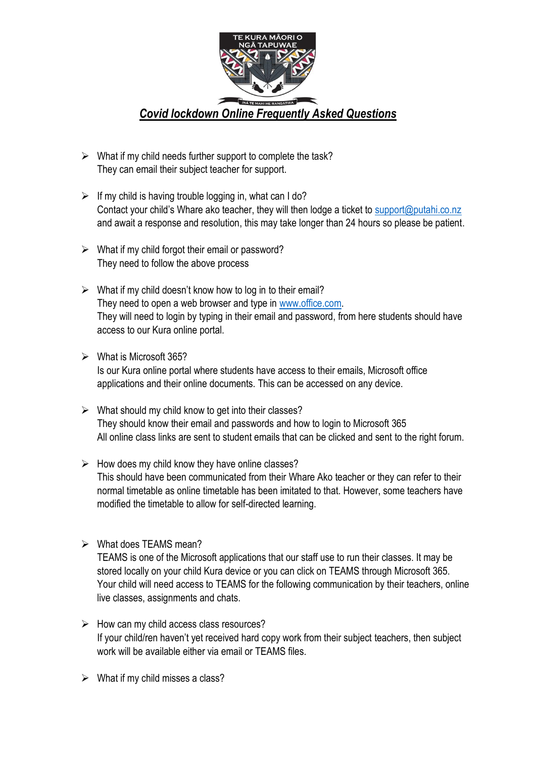

- $\triangleright$  What if my child needs further support to complete the task? They can email their subject teacher for support.
- $\triangleright$  If my child is having trouble logging in, what can I do? Contact your child's Whare ako teacher, they will then lodge a ticket to [support@putahi.co.nz](mailto:support@putahi.co.nz) and await a response and resolution, this may take longer than 24 hours so please be patient.
- $\triangleright$  What if my child forgot their email or password? They need to follow the above process
- $\triangleright$  What if my child doesn't know how to log in to their email? They need to open a web browser and type in [www.office.com.](http://www.office.com/) They will need to login by typing in their email and password, from here students should have access to our Kura online portal.
- ➢ What is Microsoft 365?

Is our Kura online portal where students have access to their emails, Microsoft office applications and their online documents. This can be accessed on any device.

- $\triangleright$  What should my child know to get into their classes? They should know their email and passwords and how to login to Microsoft 365 All online class links are sent to student emails that can be clicked and sent to the right forum.
- $\triangleright$  How does my child know they have online classes? This should have been communicated from their Whare Ako teacher or they can refer to their normal timetable as online timetable has been imitated to that. However, some teachers have modified the timetable to allow for self-directed learning.
- ➢ What does TEAMS mean?

TEAMS is one of the Microsoft applications that our staff use to run their classes. It may be stored locally on your child Kura device or you can click on TEAMS through Microsoft 365. Your child will need access to TEAMS for the following communication by their teachers, online live classes, assignments and chats.

- $\triangleright$  How can my child access class resources? If your child/ren haven't yet received hard copy work from their subject teachers, then subject work will be available either via email or TEAMS files.
- $\triangleright$  What if my child misses a class?